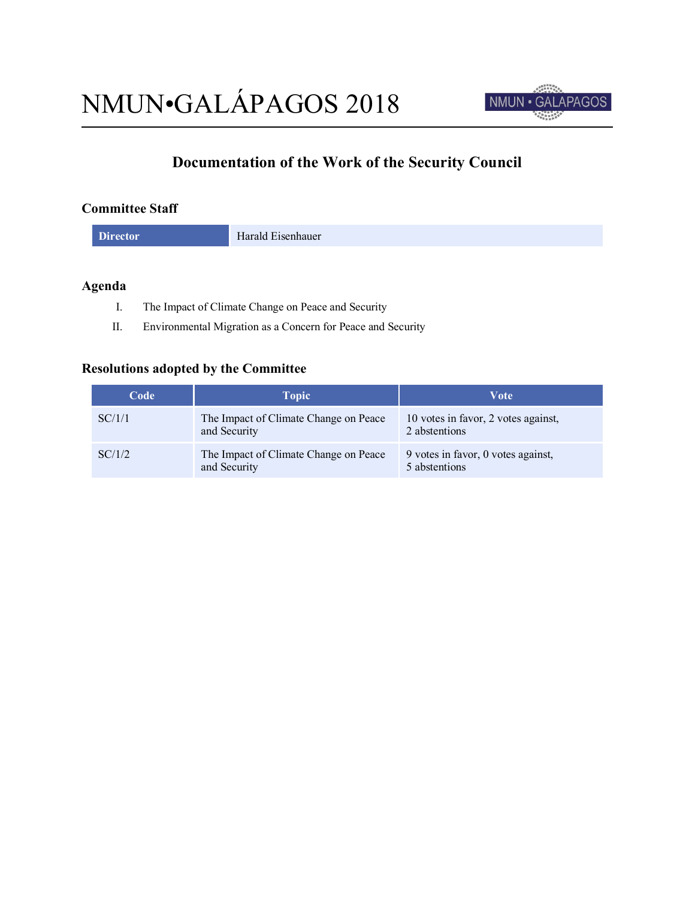

# **Documentation of the Work of the Security Council**

### **Committee Staff**

**Director** Harald Eisenhauer

# **Agenda**

- I. The Impact of Climate Change on Peace and Security
- II. Environmental Migration as a Concern for Peace and Security

## **Resolutions adopted by the Committee**

| Code   | <b>Topic</b>                                          | Vote                                                 |
|--------|-------------------------------------------------------|------------------------------------------------------|
| SC/1/1 | The Impact of Climate Change on Peace<br>and Security | 10 votes in favor, 2 votes against,<br>2 abstentions |
| SC/1/2 | The Impact of Climate Change on Peace<br>and Security | 9 votes in favor, 0 votes against,<br>5 abstentions  |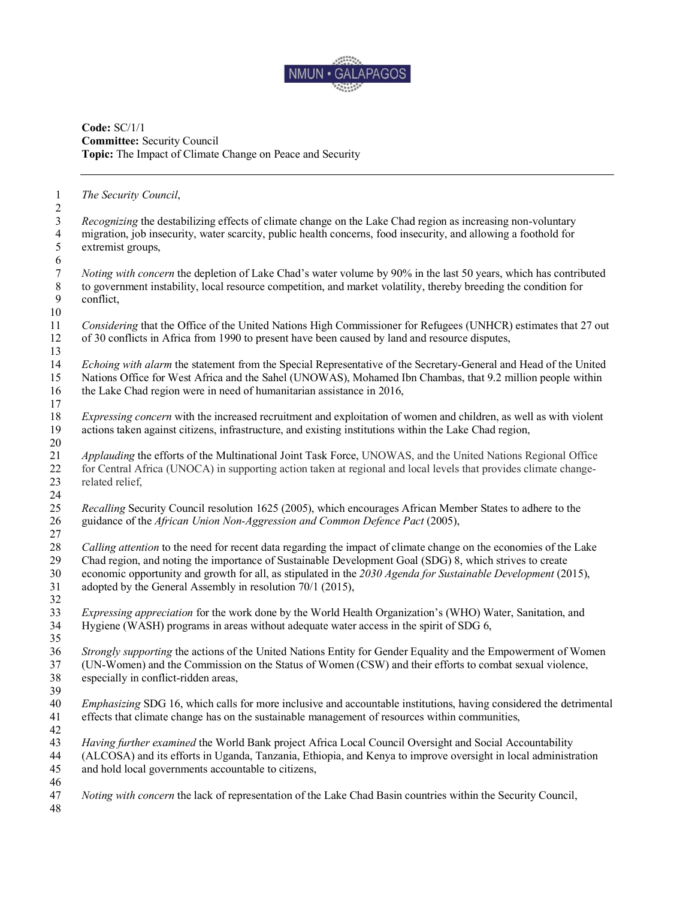

#### **Code:** SC/1/1 **Committee:** Security Council **Topic:** The Impact of Climate Change on Peace and Security

 *The Security Council*, *Recognizing* the destabilizing effects of climate change on the Lake Chad region as increasing non-voluntary migration, job insecurity, water scarcity, public health concerns, food insecurity, and allowing a foothold for extremist groups, *Noting with concern* the depletion of Lake Chad's water volume by 90% in the last 50 years, which has contributed to government instability, local resource competition, and market volatility, thereby breeding the condition for conflict. *Considering* that the Office of the United Nations High Commissioner for Refugees (UNHCR) estimates that 27 out of 30 conflicts in Africa from 1990 to present have been caused by land and resource disputes, *Echoing with alarm* the statement from the Special Representative of the Secretary-General and Head of the United Nations Office for West Africa and the Sahel (UNOWAS), Mohamed Ibn Chambas, that 9.2 million people within the Lake Chad region were in need of humanitarian assistance in 2016, *Expressing concern* with the increased recruitment and exploitation of women and children, as well as with violent actions taken against citizens, infrastructure, and existing institutions within the Lake Chad region, *Applauding* the efforts of the Multinational Joint Task Force, UNOWAS, and the United Nations Regional Office for Central Africa (UNOCA) in supporting action taken at regional and local levels that provides climate change- related relief, *Recalling* Security Council resolution 1625 (2005), which encourages African Member States to adhere to the guidance of the *African Union Non-Aggression and Common Defence Pact* (2005), *Calling attention* to the need for recent data regarding the impact of climate change on the economies of the Lake Chad region, and noting the importance of Sustainable Development Goal (SDG) 8, which strives to create economic opportunity and growth for all, as stipulated in the *2030 Agenda for Sustainable Development* (2015), adopted by the General Assembly in resolution 70/1 (2015), *Expressing appreciation* for the work done by the World Health Organization's (WHO) Water, Sanitation, and Hygiene (WASH) programs in areas without adequate water access in the spirit of SDG 6, *Strongly supporting* the actions of the United Nations Entity for Gender Equality and the Empowerment of Women<br>37 (UN-Women) and the Commission on the Status of Women (CSW) and their efforts to combat sexual violence. (UN-Women) and the Commission on the Status of Women (CSW) and their efforts to combat sexual violence, especially in conflict-ridden areas, *Emphasizing* SDG 16, which calls for more inclusive and accountable institutions, having considered the detrimental effects that climate change has on the sustainable management of resources within communities, *Having further examined* the World Bank project Africa Local Council Oversight and Social Accountability (ALCOSA) and its efforts in Uganda, Tanzania, Ethiopia, and Kenya to improve oversight in local administration and hold local governments accountable to citizens, *Noting with concern* the lack of representation of the Lake Chad Basin countries within the Security Council,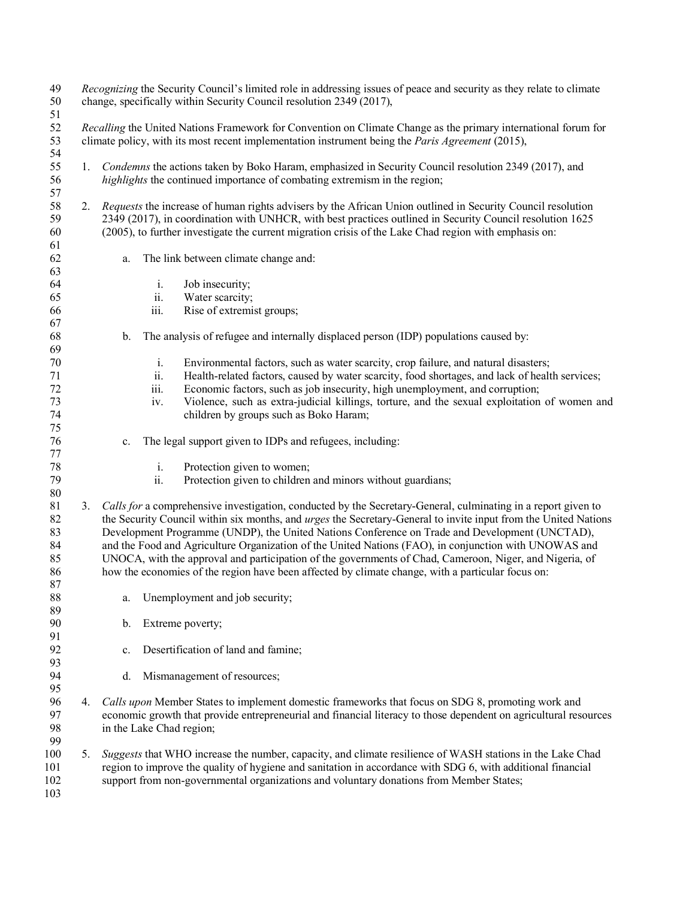*Recognizing* the Security Council's limited role in addressing issues of peace and security as they relate to climate<br>50 change, specifically within Security Council resolution 2349 (2017). change, specifically within Security Council resolution 2349 (2017), *Recalling* the United Nations Framework for Convention on Climate Change as the primary international forum for climate policy, with its most recent implementation instrument being the *Paris Agreement* (2015), 1. *Condemns* the actions taken by Boko Haram, emphasized in Security Council resolution 2349 (2017), and *highlights* the continued importance of combating extremism in the region; 2. *Requests* the increase of human rights advisers by the African Union outlined in Security Council resolution 2349 (2017), in coordination with UNHCR, with best practices outlined in Security Council resolution 1625 (2005), to further investigate the current migration crisis of the Lake Chad region with emphasis on: a. The link between climate change and: i. Job insecurity; ii. Water scarcity; iii. Rise of extremist groups; b. The analysis of refugee and internally displaced person (IDP) populations caused by: i. Environmental factors, such as water scarcity, crop failure, and natural disasters; ii. Health-related factors, caused by water scarcity, food shortages, and lack of health services; iii. Economic factors, such as job insecurity, high unemployment, and corruption; iv. Violence, such as extra-judicial killings, torture, and the sexual exploitation of women and children by groups such as Boko Haram; c. The legal support given to IDPs and refugees, including: i. Protection given to women; ii. Protection given to children and minors without guardians; 3. *Calls for* a comprehensive investigation, conducted by the Secretary-General, culminating in a report given to the Security Council within six months, and *urges* the Secretary-General to invite input from the United Nations Development Programme (UNDP), the United Nations Conference on Trade and Development (UNCTAD), and the Food and Agriculture Organization of the United Nations (FAO), in conjunction with UNOWAS and UNOCA, with the approval and participation of the governments of Chad, Cameroon, Niger, and Nigeria, of how the economies of the region have been affected by climate change, with a particular focus on: 88 a. Unemployment and job security; b. Extreme poverty; c. Desertification of land and famine; 93<br>94 d. Mismanagement of resources; 4. *Calls upon* Member States to implement domestic frameworks that focus on SDG 8, promoting work and economic growth that provide entrepreneurial and financial literacy to those dependent on agricultural resources in the Lake Chad region; 5. *Suggests* that WHO increase the number, capacity, and climate resilience of WASH stations in the Lake Chad region to improve the quality of hygiene and sanitation in accordance with SDG 6, with additional financial support from non-governmental organizations and voluntary donations from Member States;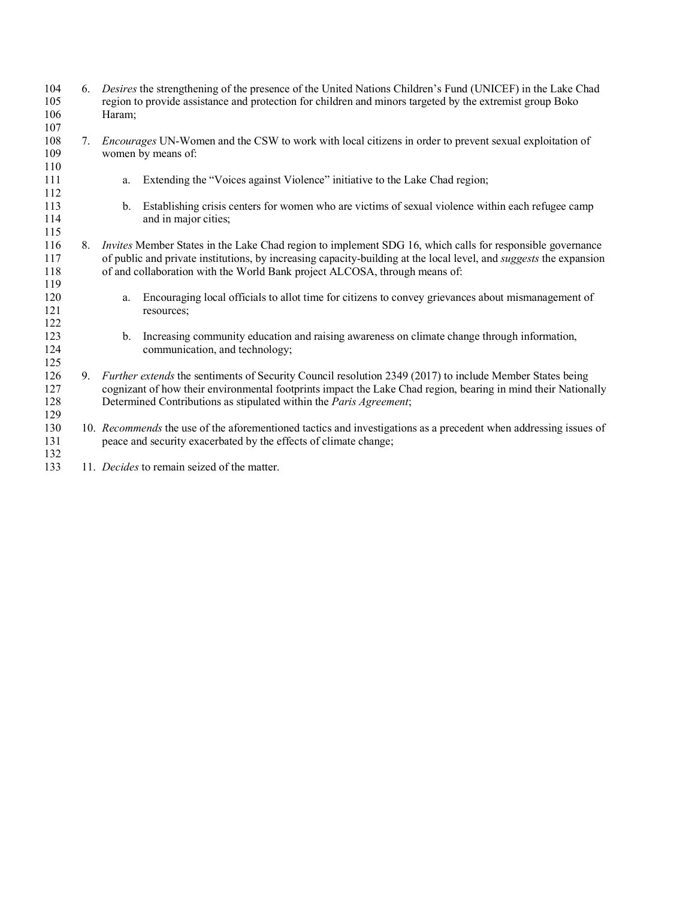| 104<br>105<br>106<br>107 | 6. | Desires the strengthening of the presence of the United Nations Children's Fund (UNICEF) in the Lake Chad<br>region to provide assistance and protection for children and minors targeted by the extremist group Boko<br>Haram;                                                                                             |
|--------------------------|----|-----------------------------------------------------------------------------------------------------------------------------------------------------------------------------------------------------------------------------------------------------------------------------------------------------------------------------|
| 108<br>109               | 7. | <i>Encourages</i> UN-Women and the CSW to work with local citizens in order to prevent sexual exploitation of<br>women by means of:                                                                                                                                                                                         |
| 110<br>111<br>112        |    | Extending the "Voices against Violence" initiative to the Lake Chad region;<br>a.                                                                                                                                                                                                                                           |
| 113<br>114<br>115        |    | Establishing crisis centers for women who are victims of sexual violence within each refugee camp<br>$b_{\cdot}$<br>and in major cities;                                                                                                                                                                                    |
| 116<br>117<br>118        | 8. | <i>Invites</i> Member States in the Lake Chad region to implement SDG 16, which calls for responsible governance<br>of public and private institutions, by increasing capacity-building at the local level, and <i>suggests</i> the expansion<br>of and collaboration with the World Bank project ALCOSA, through means of: |
| 119<br>120<br>121<br>122 |    | Encouraging local officials to allot time for citizens to convey grievances about mismanagement of<br>a.<br>resources;                                                                                                                                                                                                      |
| 123<br>124<br>125        |    | Increasing community education and raising awareness on climate change through information,<br>$b_{\cdot}$<br>communication, and technology;                                                                                                                                                                                |
| 126<br>127<br>128        | 9. | Further extends the sentiments of Security Council resolution 2349 (2017) to include Member States being<br>cognizant of how their environmental footprints impact the Lake Chad region, bearing in mind their Nationally<br>Determined Contributions as stipulated within the Paris Agreement;                             |
| 129<br>130<br>131<br>132 |    | 10. Recommends the use of the aforementioned tactics and investigations as a precedent when addressing issues of<br>peace and security exacerbated by the effects of climate change;                                                                                                                                        |
| 133                      |    | 11. Decides to remain seized of the matter.                                                                                                                                                                                                                                                                                 |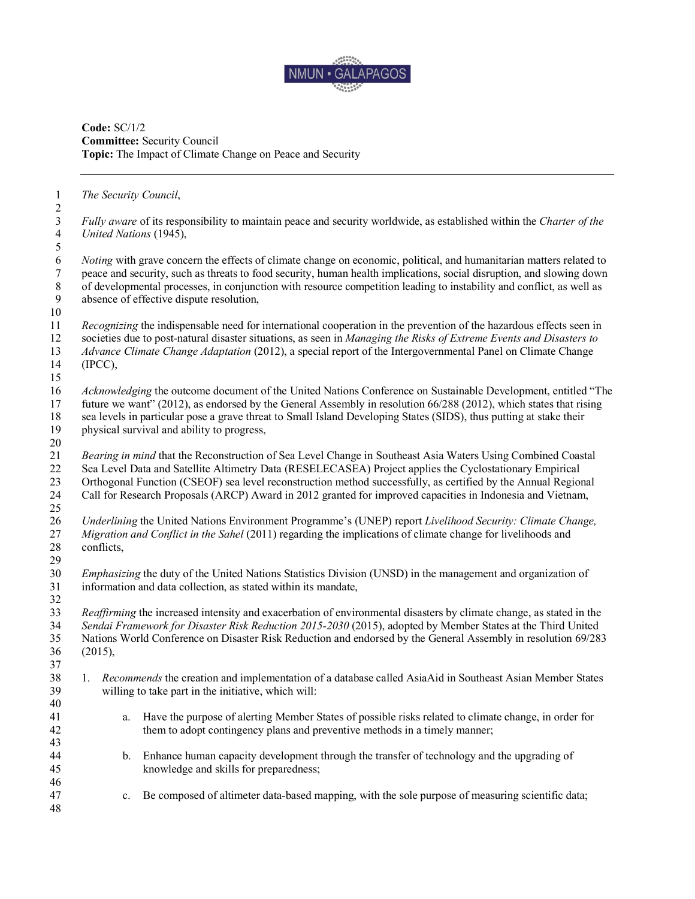

**Code:** SC/1/2 **Committee:** Security Council **Topic:** The Impact of Climate Change on Peace and Security

*The Security Council*,

| $\sqrt{2}$                                                |                                                                                                                                                                                                                                                                                                                                                                                                                                                       |
|-----------------------------------------------------------|-------------------------------------------------------------------------------------------------------------------------------------------------------------------------------------------------------------------------------------------------------------------------------------------------------------------------------------------------------------------------------------------------------------------------------------------------------|
| $\mathfrak{Z}$<br>$\overline{4}$                          | Fully aware of its responsibility to maintain peace and security worldwide, as established within the Charter of the<br>United Nations (1945),                                                                                                                                                                                                                                                                                                        |
| $\mathfrak s$                                             |                                                                                                                                                                                                                                                                                                                                                                                                                                                       |
| $\sqrt{6}$<br>$\tau$<br>$\,8\,$<br>$\boldsymbol{9}$<br>10 | <i>Noting</i> with grave concern the effects of climate change on economic, political, and humanitarian matters related to<br>peace and security, such as threats to food security, human health implications, social disruption, and slowing down<br>of developmental processes, in conjunction with resource competition leading to instability and conflict, as well as<br>absence of effective dispute resolution,                                |
| 11<br>12<br>13<br>14<br>15                                | Recognizing the indispensable need for international cooperation in the prevention of the hazardous effects seen in<br>societies due to post-natural disaster situations, as seen in Managing the Risks of Extreme Events and Disasters to<br>Advance Climate Change Adaptation (2012), a special report of the Intergovernmental Panel on Climate Change<br>(IPCC),                                                                                  |
| 16<br>17<br>18<br>19<br>$20\,$                            | Acknowledging the outcome document of the United Nations Conference on Sustainable Development, entitled "The<br>future we want" (2012), as endorsed by the General Assembly in resolution 66/288 (2012), which states that rising<br>sea levels in particular pose a grave threat to Small Island Developing States (SIDS), thus putting at stake their<br>physical survival and ability to progress,                                                |
| 21<br>22<br>23<br>24<br>25                                | Bearing in mind that the Reconstruction of Sea Level Change in Southeast Asia Waters Using Combined Coastal<br>Sea Level Data and Satellite Altimetry Data (RESELECASEA) Project applies the Cyclostationary Empirical<br>Orthogonal Function (CSEOF) sea level reconstruction method successfully, as certified by the Annual Regional<br>Call for Research Proposals (ARCP) Award in 2012 granted for improved capacities in Indonesia and Vietnam, |
| 26<br>27<br>28<br>29                                      | Underlining the United Nations Environment Programme's (UNEP) report Livelihood Security: Climate Change,<br>Migration and Conflict in the Sahel (2011) regarding the implications of climate change for livelihoods and<br>conflicts,                                                                                                                                                                                                                |
| 30<br>31<br>32                                            | Emphasizing the duty of the United Nations Statistics Division (UNSD) in the management and organization of<br>information and data collection, as stated within its mandate,                                                                                                                                                                                                                                                                         |
| 33<br>34<br>35<br>36<br>37                                | Reaffirming the increased intensity and exacerbation of environmental disasters by climate change, as stated in the<br>Sendai Framework for Disaster Risk Reduction 2015-2030 (2015), adopted by Member States at the Third United<br>Nations World Conference on Disaster Risk Reduction and endorsed by the General Assembly in resolution 69/283<br>(2015),                                                                                        |
| 38<br>39                                                  | 1. Recommends the creation and implementation of a database called AsiaAid in Southeast Asian Member States<br>willing to take part in the initiative, which will:                                                                                                                                                                                                                                                                                    |
| 40<br>41<br>42                                            | Have the purpose of alerting Member States of possible risks related to climate change, in order for<br>a.<br>them to adopt contingency plans and preventive methods in a timely manner;                                                                                                                                                                                                                                                              |
| 43<br>44<br>45                                            | Enhance human capacity development through the transfer of technology and the upgrading of<br>b.<br>knowledge and skills for preparedness;                                                                                                                                                                                                                                                                                                            |
| 46<br>47<br>48                                            | Be composed of altimeter data-based mapping, with the sole purpose of measuring scientific data;<br>c.                                                                                                                                                                                                                                                                                                                                                |
|                                                           |                                                                                                                                                                                                                                                                                                                                                                                                                                                       |